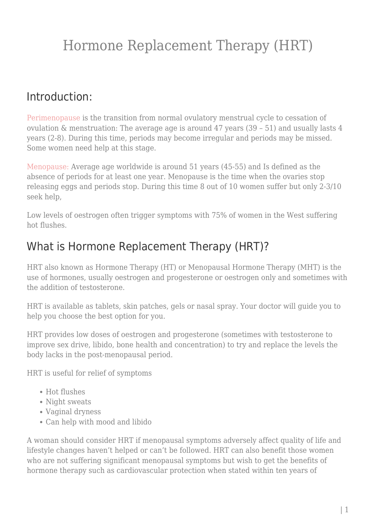### Introduction:

[Perimenopause](https://nitubajekal.com/menopause/) is the transition from normal ovulatory menstrual cycle to cessation of ovulation & menstruation: The average age is around 47 years (39 – 51) and usually lasts 4 years (2-8). During this time, periods may become irregular and periods may be missed. Some women need help at this stage.

[Menopause:](https://nitubajekal.com/menopause/) Average age worldwide is around 51 years (45-55) and Is defined as the absence of periods for at least one year. Menopause is the time when the ovaries stop releasing eggs and periods stop. During this time 8 out of 10 women suffer but only 2-3/10 seek help,

Low levels of oestrogen often trigger symptoms with 75% of women in the West suffering hot flushes.

### What is Hormone Replacement Therapy (HRT)?

HRT also known as Hormone Therapy (HT) or Menopausal Hormone Therapy (MHT) is the use of hormones, usually oestrogen and progesterone or oestrogen only and sometimes with the addition of testosterone.

HRT is available as tablets, skin patches, gels or nasal spray. Your doctor will guide you to help you choose the best option for you.

HRT provides low doses of oestrogen and progesterone (sometimes with testosterone to improve sex drive, libido, bone health and concentration) to try and replace the levels the body lacks in the post-menopausal period.

HRT is useful for relief of symptoms

- Hot flushes
- Night sweats
- Vaginal dryness
- Can help with mood and libido

A woman should consider HRT if menopausal symptoms adversely affect quality of life and lifestyle changes haven't helped or can't be followed. HRT can also benefit those women who are not suffering significant menopausal symptoms but wish to get the benefits of hormone therapy such as cardiovascular protection when stated within ten years of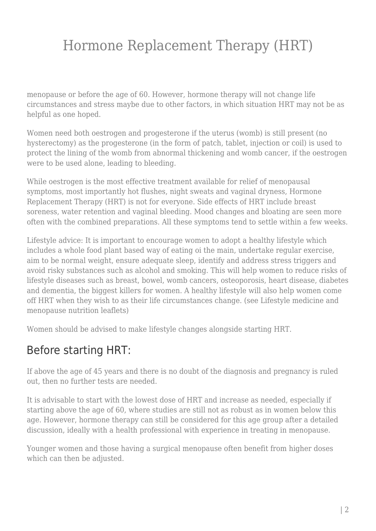menopause or before the age of 60. However, hormone therapy will not change life circumstances and stress maybe due to other factors, in which situation HRT may not be as helpful as one hoped.

Women need both oestrogen and progesterone if the uterus (womb) is still present (no hysterectomy) as the progesterone (in the form of patch, tablet, injection or coil) is used to protect the lining of the womb from abnormal thickening and womb cancer, if the oestrogen were to be used alone, leading to bleeding.

While oestrogen is the most effective treatment available for relief of menopausal symptoms, most importantly hot flushes, night sweats and vaginal dryness, Hormone Replacement Therapy (HRT) is not for everyone. Side effects of HRT include breast soreness, water retention and vaginal bleeding. Mood changes and bloating are seen more often with the combined preparations. All these symptoms tend to settle within a few weeks.

Lifestyle advice: It is important to encourage women to adopt a healthy lifestyle which includes a whole food plant based way of eating oi the main, undertake regular exercise, aim to be normal weight, ensure adequate sleep, identify and address stress triggers and avoid risky substances such as alcohol and smoking. This will help women to reduce risks of lifestyle diseases such as breast, bowel, womb cancers, osteoporosis, heart disease, diabetes and dementia, the biggest killers for women. A healthy lifestyle will also help women come off HRT when they wish to as their life circumstances change. (see Lifestyle medicine and menopause nutrition leaflets)

Women should be advised to make lifestyle changes alongside starting HRT.

#### Before starting HRT:

If above the age of 45 years and there is no doubt of the diagnosis and pregnancy is ruled out, then no further tests are needed.

It is advisable to start with the lowest dose of HRT and increase as needed, especially if starting above the age of 60, where studies are still not as robust as in women below this age. However, hormone therapy can still be considered for this age group after a detailed discussion, ideally with a health professional with experience in treating in menopause.

Younger women and those having a surgical menopause often benefit from higher doses which can then be adjusted.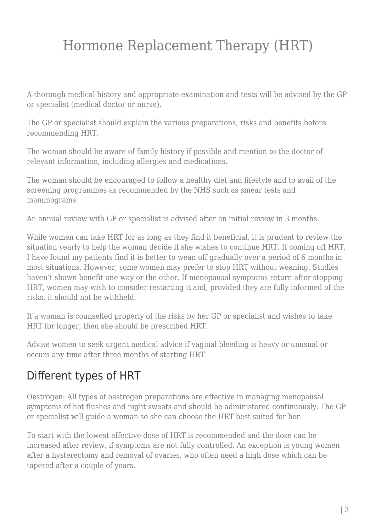A thorough medical history and appropriate examination and tests will be advised by the GP or specialist (medical doctor or nurse).

The GP or specialist should explain the various preparations, risks and benefits before recommending HRT.

The woman should be aware of family history if possible and mention to the doctor of relevant information, including allergies and medications.

The woman should be encouraged to follow a healthy diet and lifestyle and to avail of the screening programmes as recommended by the NHS such as smear tests and mammograms.

An annual review with GP or specialist is advised after an initial review in 3 months.

While women can take HRT for as long as they find it beneficial, it is prudent to review the situation yearly to help the woman decide if she wishes to continue HRT. If coming off HRT, I have found my patients find it is better to wean off gradually over a period of 6 months in most situations. However, some women may prefer to stop HRT without weaning. Studies haven't shown benefit one way or the other. If menopausal symptoms return after stopping HRT, women may wish to consider restarting it and, provided they are fully informed of the risks, it should not be withheld.

If a woman is counselled properly of the risks by her GP or specialist and wishes to take HRT for longer, then she should be prescribed HRT.

Advise women to seek urgent medical advice if vaginal bleeding is heavy or unusual or occurs any time after three months of starting HRT.

### Different types of HRT

Oestrogen: All types of oestrogen preparations are effective in managing menopausal symptoms of hot flushes and night sweats and should be administered continuously. The GP or specialist will guide a woman so she can choose the HRT best suited for her.

To start with the lowest effective dose of HRT is recommended and the dose can be increased after review, if symptoms are not fully controlled. An exception is young women after a hysterectomy and removal of ovaries, who often need a high dose which can be tapered after a couple of years.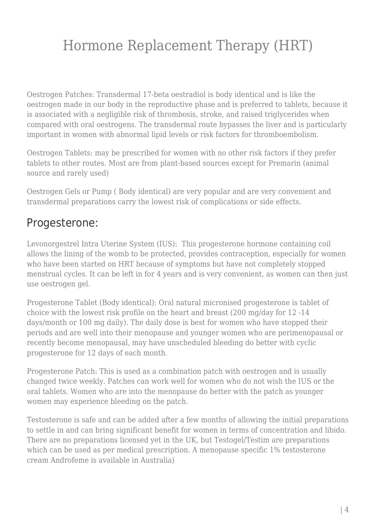Oestrogen Patches: Transdermal 17-beta oestradiol is body identical and is like the oestrogen made in our body in the reproductive phase and is preferred to tablets, because it is associated with a negligible risk of thrombosis, stroke, and raised triglycerides when compared with oral oestrogens. The transdermal route bypasses the liver and is particularly important in women with abnormal lipid levels or risk factors for thromboembolism.

Oestrogen Tablets: may be prescribed for women with no other risk factors if they prefer tablets to other routes. Most are from plant-based sources except for Premarin (animal source and rarely used)

Oestrogen Gels or Pump ( Body identical) are very popular and are very convenient and transdermal preparations carry the lowest risk of complications or side effects.

### Progesterone:

Levonorgestrel Intra Uterine System (IUS): This progesterone hormone containing coil allows the lining of the womb to be protected, provides contraception, especially for women who have been started on HRT because of symptoms but have not completely stopped menstrual cycles. It can be left in for 4 years and is very convenient, as women can then just use oestrogen gel.

Progesterone Tablet (Body identical): Oral natural micronised progesterone is tablet of choice with the lowest risk profile on the heart and breast (200 mg/day for 12 -14 days/month or 100 mg daily). The daily dose is best for women who have stopped their periods and are well into their menopause and younger women who are perimenopausal or recently become menopausal, may have unscheduled bleeding do better with cyclic progesterone for 12 days of each month.

Progesterone Patch: This is used as a combination patch with oestrogen and is usually changed twice weekly. Patches can work well for women who do not wish the IUS or the oral tablets. Women who are into the menopause do better with the patch as younger women may experience bleeding on the patch.

Testosterone is safe and can be added after a few months of allowing the initial preparations to settle in and can bring significant benefit for women in terms of concentration and libido. There are no preparations licensed yet in the UK, but Testogel/Testim are preparations which can be used as per medical prescription. A menopause specific 1% testosterone cream Androfeme is available in Australia)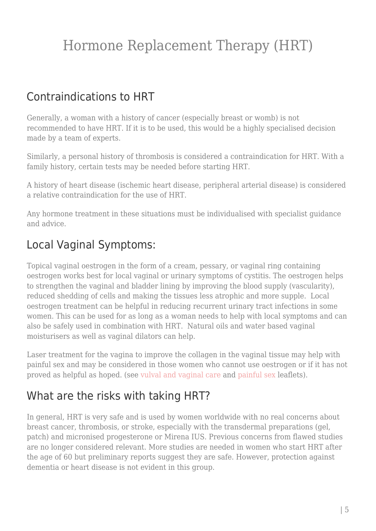### Contraindications to HRT

Generally, a woman with a history of cancer (especially breast or womb) is not recommended to have HRT. If it is to be used, this would be a highly specialised decision made by a team of experts.

Similarly, a personal history of thrombosis is considered a contraindication for HRT. With a family history, certain tests may be needed before starting HRT.

A history of heart disease (ischemic heart disease, peripheral arterial disease) is considered a relative contraindication for the use of HRT.

Any hormone treatment in these situations must be individualised with specialist guidance and advice.

### Local Vaginal Symptoms:

Topical vaginal oestrogen in the form of a cream, pessary, or vaginal ring containing oestrogen works best for local vaginal or urinary symptoms of cystitis. The oestrogen helps to strengthen the vaginal and bladder lining by improving the blood supply (vascularity), reduced shedding of cells and making the tissues less atrophic and more supple. Local oestrogen treatment can be helpful in reducing recurrent urinary tract infections in some women. This can be used for as long as a woman needs to help with local symptoms and can also be safely used in combination with HRT. Natural oils and water based vaginal moisturisers as well as vaginal dilators can help.

Laser treatment for the vagina to improve the collagen in the vaginal tissue may help with painful sex and may be considered in those women who cannot use oestrogen or if it has not proved as helpful as hoped. (see [vulval and vaginal care](https://nitubajekal.com/general-care/) and [painful sex](https://nitubajekal.com/painful-sex/) leaflets).

### What are the risks with taking HRT?

In general, HRT is very safe and is used by women worldwide with no real concerns about breast cancer, thrombosis, or stroke, especially with the transdermal preparations (gel, patch) and micronised progesterone or Mirena IUS. Previous concerns from flawed studies are no longer considered relevant. More studies are needed in women who start HRT after the age of 60 but preliminary reports suggest they are safe. However, protection against dementia or heart disease is not evident in this group.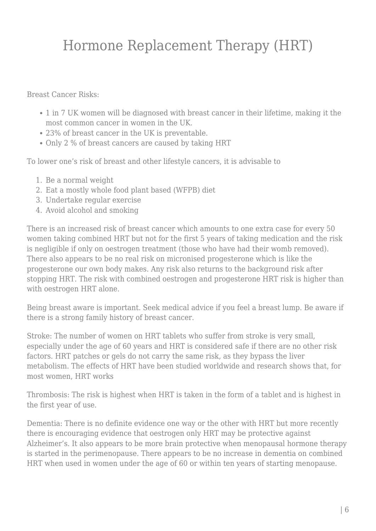Breast Cancer Risks:

- 1 in 7 UK women will be diagnosed with breast cancer in their lifetime, making it the most common cancer in women in the UK.
- 23% of breast cancer in the UK is preventable.
- Only 2 % of breast cancers are caused by taking HRT

To lower one's risk of breast and other lifestyle cancers, it is advisable to

- 1. Be a normal weight
- 2. Eat a mostly whole food plant based (WFPB) diet
- 3. Undertake regular exercise
- 4. Avoid alcohol and smoking

There is an increased risk of breast cancer which amounts to one extra case for every 50 women taking combined HRT but not for the first 5 years of taking medication and the risk is negligible if only on oestrogen treatment (those who have had their womb removed). There also appears to be no real risk on micronised progesterone which is like the progesterone our own body makes. Any risk also returns to the background risk after stopping HRT. The risk with combined oestrogen and progesterone HRT risk is higher than with oestrogen HRT alone.

Being breast aware is important. Seek medical advice if you feel a breast lump. Be aware if there is a strong family history of breast cancer.

Stroke: The number of women on HRT tablets who suffer from stroke is very small, especially under the age of 60 years and HRT is considered safe if there are no other risk factors. HRT patches or gels do not carry the same risk, as they bypass the liver metabolism. The effects of HRT have been studied worldwide and research shows that, for most women, HRT works

Thrombosis: The risk is highest when HRT is taken in the form of a tablet and is highest in the first year of use.

Dementia: There is no definite evidence one way or the other with HRT but more recently there is encouraging evidence that oestrogen only HRT may be protective against Alzheimer's. It also appears to be more brain protective when menopausal hormone therapy is started in the perimenopause. There appears to be no increase in dementia on combined HRT when used in women under the age of 60 or within ten years of starting menopause.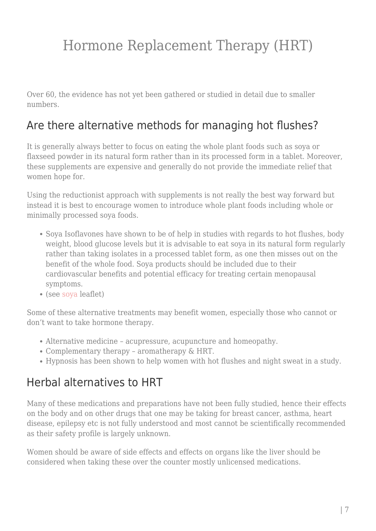Over 60, the evidence has not yet been gathered or studied in detail due to smaller numbers.

#### Are there alternative methods for managing hot flushes?

It is generally always better to focus on eating the whole plant foods such as soya or flaxseed powder in its natural form rather than in its processed form in a tablet. Moreover, these supplements are expensive and generally do not provide the immediate relief that women hope for.

Using the reductionist approach with supplements is not really the best way forward but instead it is best to encourage women to introduce whole plant foods including whole or minimally processed soya foods.

- Soya Isoflavones have shown to be of help in studies with regards to hot flushes, body weight, blood glucose levels but it is advisable to eat soya in its natural form regularly rather than taking isolates in a processed tablet form, as one then misses out on the benefit of the whole food. Soya products should be included due to their cardiovascular benefits and potential efficacy for treating certain menopausal symptoms.
- (see [soya](https://nitubajekal.com/role-of-soya/) leaflet)

Some of these alternative treatments may benefit women, especially those who cannot or don't want to take hormone therapy.

- Alternative medicine acupressure, acupuncture and homeopathy.
- Complementary therapy aromatherapy & HRT.
- Hypnosis has been shown to help women with hot flushes and night sweat in a study.

### Herbal alternatives to HRT

Many of these medications and preparations have not been fully studied, hence their effects on the body and on other drugs that one may be taking for breast cancer, asthma, heart disease, epilepsy etc is not fully understood and most cannot be scientifically recommended as their safety profile is largely unknown.

Women should be aware of side effects and effects on organs like the liver should be considered when taking these over the counter mostly unlicensed medications.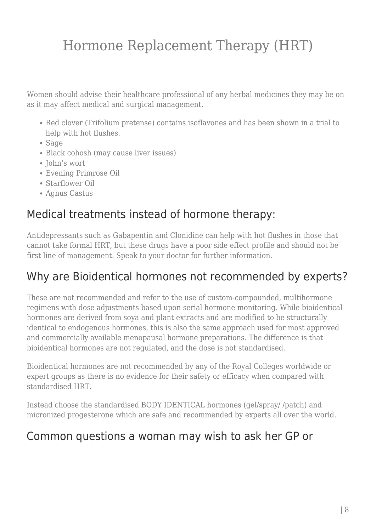Women should advise their healthcare professional of any herbal medicines they may be on as it may affect medical and surgical management.

- Red clover (Trifolium pretense) contains isoflavones and has been shown in a trial to help with hot flushes.
- Sage
- Black cohosh (may cause liver issues)
- John's wort
- Evening Primrose Oil
- Starflower Oil
- Agnus Castus

### Medical treatments instead of hormone therapy:

Antidepressants such as Gabapentin and Clonidine can help with hot flushes in those that cannot take formal HRT, but these drugs have a poor side effect profile and should not be first line of management. Speak to your doctor for further information.

### Why are Bioidentical hormones not recommended by experts?

These are not recommended and refer to the use of custom-compounded, multihormone regimens with dose adjustments based upon serial hormone monitoring. While bioidentical hormones are derived from soya and plant extracts and are modified to be structurally identical to endogenous hormones, this is also the same approach used for most approved and commercially available menopausal hormone preparations. The difference is that bioidentical hormones are not regulated, and the dose is not standardised.

Bioidentical hormones are not recommended by any of the Royal Colleges worldwide or expert groups as there is no evidence for their safety or efficacy when compared with standardised HRT.

Instead choose the standardised BODY IDENTICAL hormones (gel/spray/ /patch) and micronized progesterone which are safe and recommended by experts all over the world.

#### Common questions a woman may wish to ask her GP or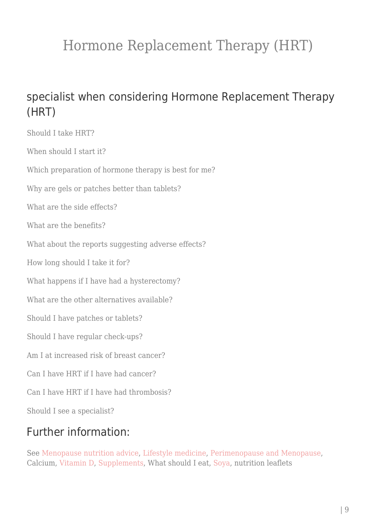### specialist when considering Hormone Replacement Therapy (HRT)

Should I take HRT? When should I start it? Which preparation of hormone therapy is best for me? Why are gels or patches better than tablets? What are the side effects? What are the benefits? What about the reports suggesting adverse effects? How long should I take it for? What happens if I have had a hysterectomy? What are the other alternatives available? Should I have patches or tablets? Should I have regular check-ups? Am I at increased risk of breast cancer? Can I have HRT if I have had cancer? Can I have HRT if I have had thrombosis? Should I see a specialist?

### Further information:

See [Menopause nutrition advice,](https://nitubajekal.com/menopause-nutrition-advice/) [Lifestyle medicine](https://nitubajekal.com/lifestyle-medicine/), [Perimenopause and Menopause](https://nitubajekal.com/menopause/), Calcium, [Vitamin D,](https://nitubajekal.com/supplements/) [Supplements](https://nitubajekal.com/supplements/), What should I eat, [Soya](https://nitubajekal.com/role-of-soya/), nutrition leaflets